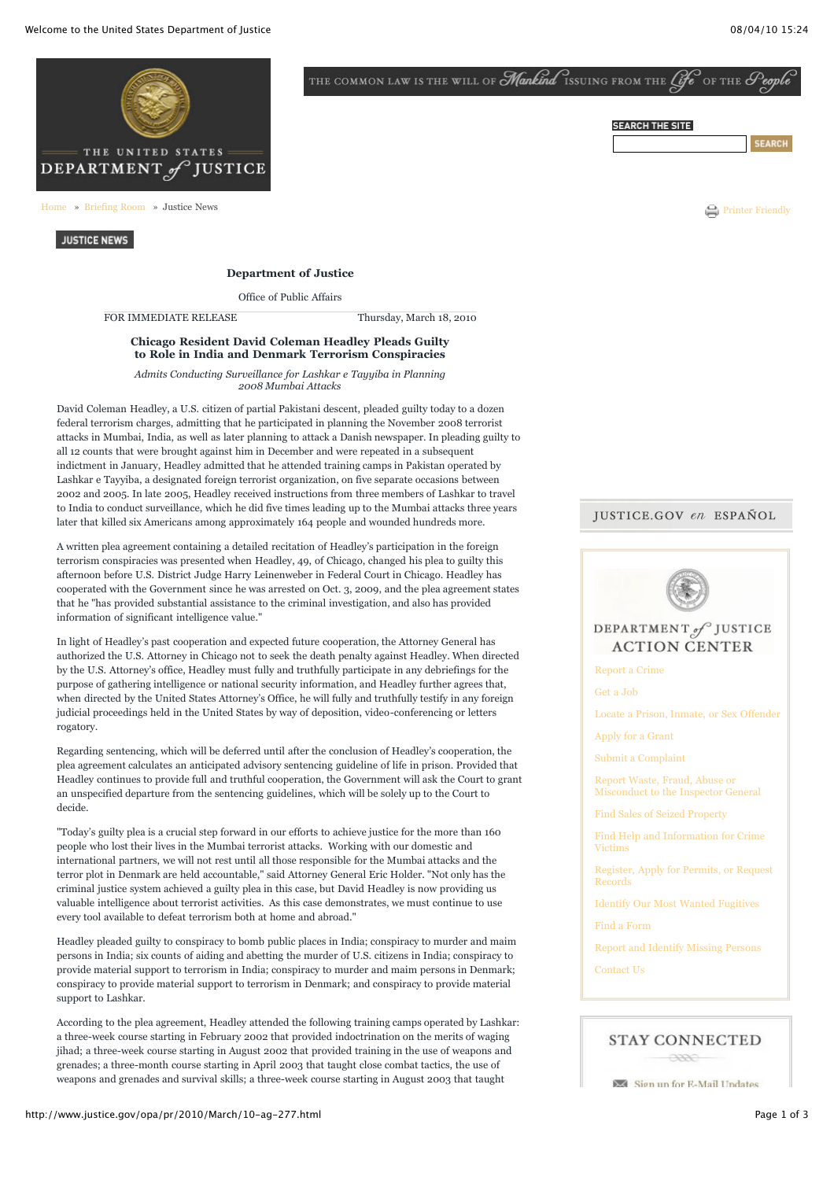

[Home](http://www.justice.gov/) » [Briefing](http://www.justice.gov/briefing-room.html) Room » Justice News  $\bigodot$  Printer [Friendly](javascript:PrintPreview();)

**JUSTICE NEWS** 

#### **Department of Justice**

Office of Public Affairs

FOR IMMEDIATE RELEASE Thursday, March 18, 2010

### **Chicago Resident David Coleman Headley Pleads Guilty to Role in India and Denmark Terrorism Conspiracies**

*Admits Conducting Surveillance for Lashkar e Tayyiba in Planning 2008 Mumbai Attacks*

David Coleman Headley, a U.S. citizen of partial Pakistani descent, pleaded guilty today to a dozen federal terrorism charges, admitting that he participated in planning the November 2008 terrorist attacks in Mumbai, India, as well as later planning to attack a Danish newspaper. In pleading guilty to all 12 counts that were brought against him in December and were repeated in a subsequent indictment in January, Headley admitted that he attended training camps in Pakistan operated by Lashkar e Tayyiba, a designated foreign terrorist organization, on five separate occasions between 2002 and 2005. In late 2005, Headley received instructions from three members of Lashkar to travel to India to conduct surveillance, which he did five times leading up to the Mumbai attacks three years later that killed six Americans among approximately 164 people and wounded hundreds more.

A written plea agreement containing a detailed recitation of Headley's participation in the foreign terrorism conspiracies was presented when Headley, 49, of Chicago, changed his plea to guilty this afternoon before U.S. District Judge Harry Leinenweber in Federal Court in Chicago. Headley has cooperated with the Government since he was arrested on Oct. 3, 2009, and the plea agreement states that he "has provided substantial assistance to the criminal investigation, and also has provided information of significant intelligence value."

In light of Headley's past cooperation and expected future cooperation, the Attorney General has authorized the U.S. Attorney in Chicago not to seek the death penalty against Headley. When directed by the U.S. Attorney's office, Headley must fully and truthfully participate in any debriefings for the purpose of gathering intelligence or national security information, and Headley further agrees that, when directed by the United States Attorney's Office, he will fully and truthfully testify in any foreign judicial proceedings held in the United States by way of deposition, video-conferencing or letters rogatory.

Regarding sentencing, which will be deferred until after the conclusion of Headley's cooperation, the plea agreement calculates an anticipated advisory sentencing guideline of life in prison. Provided that Headley continues to provide full and truthful cooperation, the Government will ask the Court to grant an unspecified departure from the sentencing guidelines, which will be solely up to the Court to decide.

"Today's guilty plea is a crucial step forward in our efforts to achieve justice for the more than 160 people who lost their lives in the Mumbai terrorist attacks. Working with our domestic and international partners, we will not rest until all those responsible for the Mumbai attacks and the terror plot in Denmark are held accountable," said Attorney General Eric Holder. "Not only has the criminal justice system achieved a guilty plea in this case, but David Headley is now providing us valuable intelligence about terrorist activities. As this case demonstrates, we must continue to use every tool available to defeat terrorism both at home and abroad."

Headley pleaded guilty to conspiracy to bomb public places in India; conspiracy to murder and maim persons in India; six counts of aiding and abetting the murder of U.S. citizens in India; conspiracy to provide material support to terrorism in India; conspiracy to murder and maim persons in Denmark; conspiracy to provide material support to terrorism in Denmark; and conspiracy to provide material support to Lashkar.

According to the plea agreement, Headley attended the following training camps operated by Lashkar: a three-week course starting in February 2002 that provided indoctrination on the merits of waging jihad; a three-week course starting in August 2002 that provided training in the use of weapons and grenades; a three-month course starting in April 2003 that taught close combat tactics, the use of weapons and grenades and survival skills; a three-week course starting in August 2003 that taught

THE COMMON LAW IS THE WILL OF **Mankind** ISSUING FROM THE *Cife* OF THE

# **SEARCH THE SITE**

## **JUSTICE.GOV en ESPAÑOL**



# **STAY CONNECTED**

**CONTRACTOR** 

Sign up for E-Mail Undates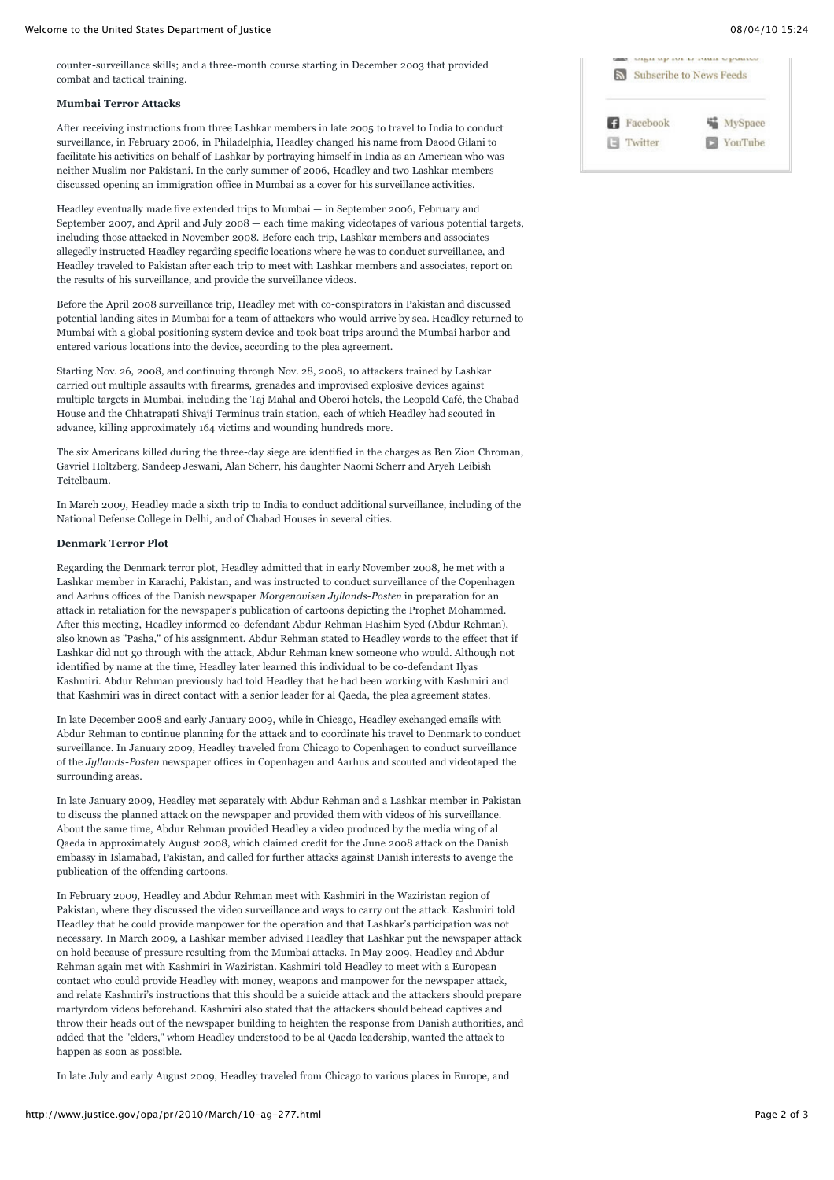#### **Mumbai Terror Attacks**

After receiving instructions from three Lashkar members in late 2005 to travel to India to conduct surveillance, in February 2006, in Philadelphia, Headley changed his name from Daood Gilani to facilitate his activities on behalf of Lashkar by portraying himself in India as an American who was neither Muslim nor Pakistani. In the early summer of 2006, Headley and two Lashkar members discussed opening an immigration office in Mumbai as a cover for his surveillance activities.

Headley eventually made five extended trips to Mumbai — in September 2006, February and September 2007, and April and July 2008 — each time making videotapes of various potential targets, including those attacked in November 2008. Before each trip, Lashkar members and associates allegedly instructed Headley regarding specific locations where he was to conduct surveillance, and Headley traveled to Pakistan after each trip to meet with Lashkar members and associates, report on the results of his surveillance, and provide the surveillance videos.

Before the April 2008 surveillance trip, Headley met with co-conspirators in Pakistan and discussed potential landing sites in Mumbai for a team of attackers who would arrive by sea. Headley returned to Mumbai with a global positioning system device and took boat trips around the Mumbai harbor and entered various locations into the device, according to the plea agreement.

Starting Nov. 26, 2008, and continuing through Nov. 28, 2008, 10 attackers trained by Lashkar carried out multiple assaults with firearms, grenades and improvised explosive devices against multiple targets in Mumbai, including the Taj Mahal and Oberoi hotels, the Leopold Café, the Chabad House and the Chhatrapati Shivaji Terminus train station, each of which Headley had scouted in advance, killing approximately 164 victims and wounding hundreds more.

The six Americans killed during the three-day siege are identified in the charges as Ben Zion Chroman, Gavriel Holtzberg, Sandeep Jeswani, Alan Scherr, his daughter Naomi Scherr and Aryeh Leibish Teitelbaum.

In March 2009, Headley made a sixth trip to India to conduct additional surveillance, including of the National Defense College in Delhi, and of Chabad Houses in several cities.

## **Denmark Terror Plot**

Regarding the Denmark terror plot, Headley admitted that in early November 2008, he met with a Lashkar member in Karachi, Pakistan, and was instructed to conduct surveillance of the Copenhagen and Aarhus offices of the Danish newspaper *Morgenavisen Jyllands-Posten* in preparation for an attack in retaliation for the newspaper's publication of cartoons depicting the Prophet Mohammed. After this meeting, Headley informed co-defendant Abdur Rehman Hashim Syed (Abdur Rehman), also known as "Pasha," of his assignment. Abdur Rehman stated to Headley words to the effect that if Lashkar did not go through with the attack, Abdur Rehman knew someone who would. Although not identified by name at the time, Headley later learned this individual to be co-defendant Ilyas Kashmiri. Abdur Rehman previously had told Headley that he had been working with Kashmiri and that Kashmiri was in direct contact with a senior leader for al Qaeda, the plea agreement states.

In late December 2008 and early January 2009, while in Chicago, Headley exchanged emails with Abdur Rehman to continue planning for the attack and to coordinate his travel to Denmark to conduct surveillance. In January 2009, Headley traveled from Chicago to Copenhagen to conduct surveillance of the *Jyllands-Posten* newspaper offices in Copenhagen and Aarhus and scouted and videotaped the surrounding areas.

In late January 2009, Headley met separately with Abdur Rehman and a Lashkar member in Pakistan to discuss the planned attack on the newspaper and provided them with videos of his surveillance. About the same time, Abdur Rehman provided Headley a video produced by the media wing of al Qaeda in approximately August 2008, which claimed credit for the June 2008 attack on the Danish embassy in Islamabad, Pakistan, and called for further attacks against Danish interests to avenge the publication of the offending cartoons.

In February 2009, Headley and Abdur Rehman meet with Kashmiri in the Waziristan region of Pakistan, where they discussed the video surveillance and ways to carry out the attack. Kashmiri told Headley that he could provide manpower for the operation and that Lashkar's participation was not necessary. In March 2009, a Lashkar member advised Headley that Lashkar put the newspaper attack on hold because of pressure resulting from the Mumbai attacks. In May 2009, Headley and Abdur Rehman again met with Kashmiri in Waziristan. Kashmiri told Headley to meet with a European contact who could provide Headley with money, weapons and manpower for the newspaper attack, and relate Kashmiri's instructions that this should be a suicide attack and the attackers should prepare martyrdom videos beforehand. Kashmiri also stated that the attackers should behead captives and throw their heads out of the newspaper building to heighten the response from Danish authorities, and added that the "elders," whom Headley understood to be al Qaeda leadership, wanted the attack to happen as soon as possible.

In late July and early August 2009, Headley traveled from Chicago to various places in Europe, and

| Subscribe to News Feeds |         |
|-------------------------|---------|
| Facebook<br>ĸ           | MySpace |
| Twitter                 | YouTube |